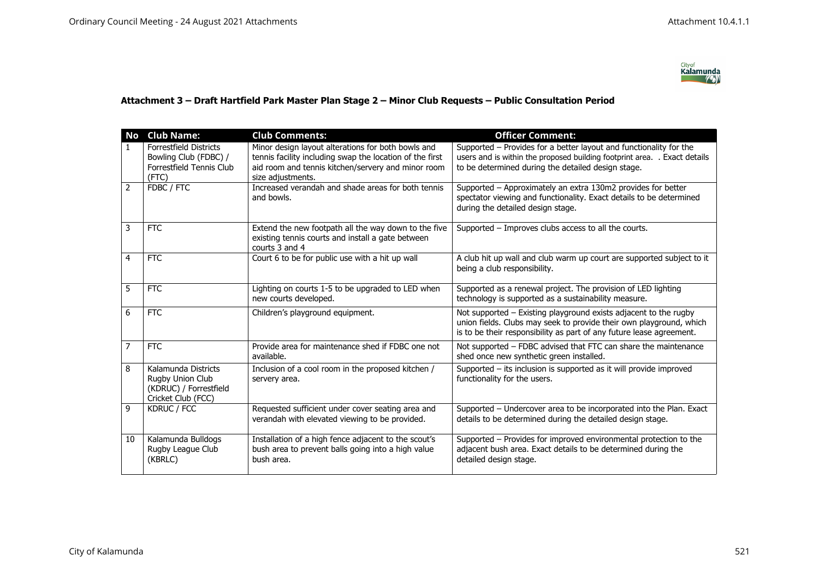

## **Attachment 3 – Draft Hartfield Park Master Plan Stage 2 – Minor Club Requests – Public Consultation Period**

| <b>No</b>      | <b>Club Name:</b>                                                                       | <b>Club Comments:</b>                                                                                                       | <b>Officer Comment:</b>                                                                                                                                                                                         |
|----------------|-----------------------------------------------------------------------------------------|-----------------------------------------------------------------------------------------------------------------------------|-----------------------------------------------------------------------------------------------------------------------------------------------------------------------------------------------------------------|
| $\mathbf{1}$   | <b>Forrestfield Districts</b>                                                           | Minor design layout alterations for both bowls and                                                                          | Supported – Provides for a better layout and functionality for the                                                                                                                                              |
|                | Bowling Club (FDBC) /<br>Forrestfield Tennis Club                                       | tennis facility including swap the location of the first<br>aid room and tennis kitchen/servery and minor room              | users and is within the proposed building footprint area. . Exact details<br>to be determined during the detailed design stage.                                                                                 |
|                | (FTC)                                                                                   | size adjustments.                                                                                                           |                                                                                                                                                                                                                 |
| $\overline{2}$ | FDBC / FTC                                                                              | Increased verandah and shade areas for both tennis<br>and bowls.                                                            | Supported - Approximately an extra 130m2 provides for better<br>spectator viewing and functionality. Exact details to be determined<br>during the detailed design stage.                                        |
| 3              | <b>FTC</b>                                                                              | Extend the new footpath all the way down to the five<br>existing tennis courts and install a gate between<br>courts 3 and 4 | Supported - Improves clubs access to all the courts.                                                                                                                                                            |
| $\overline{4}$ | <b>FTC</b>                                                                              | Court 6 to be for public use with a hit up wall                                                                             | A club hit up wall and club warm up court are supported subject to it<br>being a club responsibility.                                                                                                           |
| 5              | <b>FTC</b>                                                                              | Lighting on courts 1-5 to be upgraded to LED when<br>new courts developed.                                                  | Supported as a renewal project. The provision of LED lighting<br>technology is supported as a sustainability measure.                                                                                           |
| 6              | <b>FTC</b>                                                                              | Children's playground equipment.                                                                                            | Not supported - Existing playground exists adjacent to the rugby<br>union fields. Clubs may seek to provide their own playground, which<br>is to be their responsibility as part of any future lease agreement. |
| $\overline{7}$ | <b>FTC</b>                                                                              | Provide area for maintenance shed if FDBC one not<br>available.                                                             | Not supported - FDBC advised that FTC can share the maintenance<br>shed once new synthetic green installed.                                                                                                     |
| 8              | Kalamunda Districts<br>Rugby Union Club<br>(KDRUC) / Forrestfield<br>Cricket Club (FCC) | Inclusion of a cool room in the proposed kitchen /<br>servery area.                                                         | Supported - its inclusion is supported as it will provide improved<br>functionality for the users.                                                                                                              |
| 9              | KDRUC / FCC                                                                             | Requested sufficient under cover seating area and<br>verandah with elevated viewing to be provided.                         | Supported - Undercover area to be incorporated into the Plan. Exact<br>details to be determined during the detailed design stage.                                                                               |
| 10             | Kalamunda Bulldogs<br>Rugby League Club<br>(KBRLC)                                      | Installation of a high fence adjacent to the scout's<br>bush area to prevent balls going into a high value<br>bush area.    | Supported - Provides for improved environmental protection to the<br>adjacent bush area. Exact details to be determined during the<br>detailed design stage.                                                    |